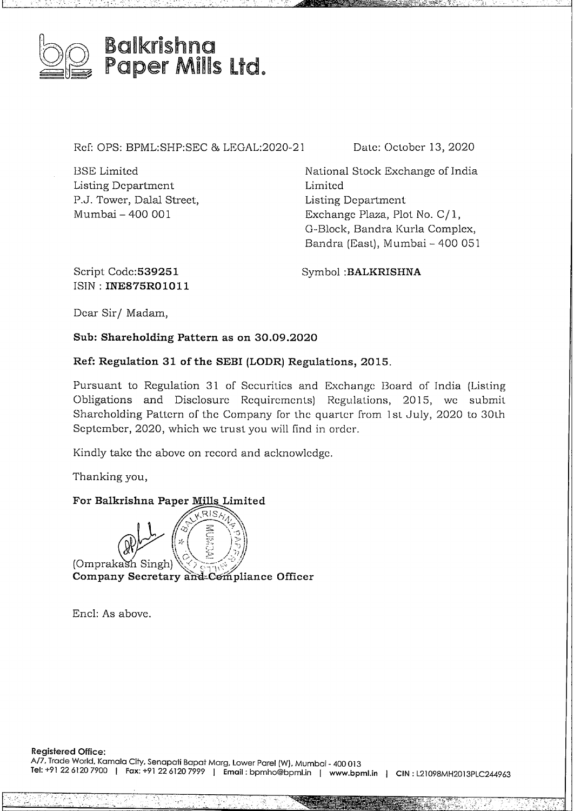

# Paper Mills Ltd.

Ref: OPS: BPML:SHP:SEC <sup>8</sup> LEGAL:2020-21

BSE Limited Listing Department P.J. Tower, Dalal Street, Mumbai- <sup>400</sup> <sup>001</sup>

Date: October 13, 2020

National Stock Exchange of India Limited Listing Department Exchange Plaza, Plot No. C/ 1, G-Block, Bandra Kurla Complex, Bandra (East), Mumbai - 400 051

Script Codc:539251 ISIN: **INE875R01011** Symbol **:BALKRISHNA**

Dear Sir/ Madam,

**Sub: Shareholding Pattern as on 30.09.2020**

### **Ref: Regulation 31 of the SEBI (LODR) Regulations, 2015.**

Pursuant to Regulation 31 of Securities and Exchange Board of India (Listing Obligations and Disclosure Requirements) Regulations, 2015, we submit Shareholding Pattern of the Company for the quarter from 1st July, 2020 to 30th September, 2020, which we trust you will find in order.

Kindly take the above on record and acknowledge.

Thanking you,

### **For Balkrishna Paper Mills Limited**

Mills Limited<br> $\overbrace{\times}^{\text{RIS}}$   $\overbrace{\times}^{\text{RIS}}$  $\begin{pmatrix} \sqrt{1-\mu} & \sqrt{1-\mu} & \sqrt{1-\mu} & \sqrt{1-\mu} & \sqrt{1-\mu} & \sqrt{1-\mu} & \sqrt{1-\mu} & \sqrt{1-\mu} & \sqrt{1-\mu} & \sqrt{1-\mu} & \sqrt{1-\mu} & \sqrt{1-\mu} & \sqrt{1-\mu} & \sqrt{1-\mu} & \sqrt{1-\mu} & \sqrt{1-\mu} & \sqrt{1-\mu} & \sqrt{1-\mu} & \sqrt{1-\mu} & \sqrt{1-\mu} & \sqrt{1-\mu} & \sqrt{1-\mu} & \sqrt{1-\mu} & \sqrt{1-\mu} & \sqrt{1-\mu} & \sqrt{1-\mu} & \sqrt{1-\mu$ per Mills Limi **REARE** ·\ .• < »*<sup>h</sup>* Omprakash Singh (x) For Bankishing Paper Mills Emilied<br>
(Company Secretary and Compliance Officer

Encl: As above.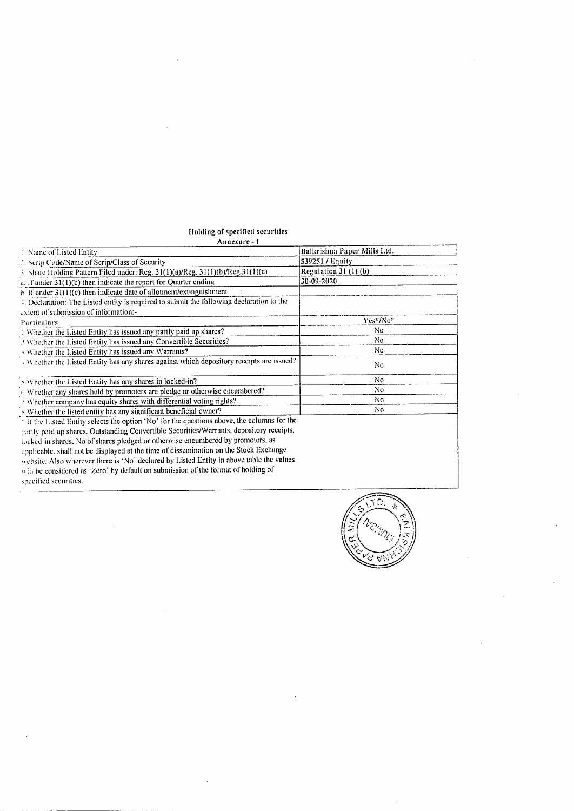## Holding of specified securities<br>Annexure - I

| Annexure - 1                                                                                           |                             |
|--------------------------------------------------------------------------------------------------------|-----------------------------|
| 1 Name of Listed Entity                                                                                | Balkrishna Paper Mills Ltd. |
| Serip Code/Name of Scrip/Class of Security                                                             | 539251 / Equity             |
| 3 Share Holding Pattern Filed under: Reg. 31(1)(a)/Reg. 31(1)(b)/Reg.31(1)(c)                          | Regulation $31(1)(b)$       |
| a. If ander $31(1)(b)$ then indicate the report for Quarter ending                                     | 30-09-2020                  |
| $\phi$ . if under 31(1)(c) then indicate date of allotment/extinguishment                              |                             |
| 4. Declaration: The Listed entity is required to submit the following declaration to the               |                             |
| extent of submission of information:-                                                                  |                             |
| Particulars                                                                                            | Yes*/No*                    |
| 1 Whether the Listed Entity has issued any partly paid up shares?                                      | No                          |
| ? Whether the Listed Entity has issued any Convertible Securities?                                     | No.                         |
| Whether the Listed Entity has issued any Warrants?                                                     | No.                         |
| Whether the Listed Entity has any shares against which depository receipts are issued?                 | No.                         |
| N in Whether the Listed Entity has any shares in locked-in?                                            | No.                         |
| 6 Whether any shares held by promoters are pledge or otherwise encumbered?                             | No                          |
| 7 Whether company has equity shares with differential voting rights?                                   | No.                         |
| s Whether the listed entity has any significant beneficial owner?                                      | No.                         |
| <sup>3</sup> If the Listed Entity selects the option 'No' for the questions above, the columns for the |                             |
| partly paid up shares. Outstanding Convertible Securities/Warrants, depository receipts,               |                             |
| locked-in shares, No of shares pledged or otherwise encumbered by promoters, as                        |                             |
| applicable, shall not be displayed at the time of dissemination on the Stock Exchange                  |                             |
| website. Also wherever there is 'No' declared by Listed Entity in above table the values               |                             |
| will be considered as 'Zero' by default on submission of the format of holding of                      |                             |
| specified securities.                                                                                  |                             |

 $\ddot{\phantom{a}}$ 



 $\sim$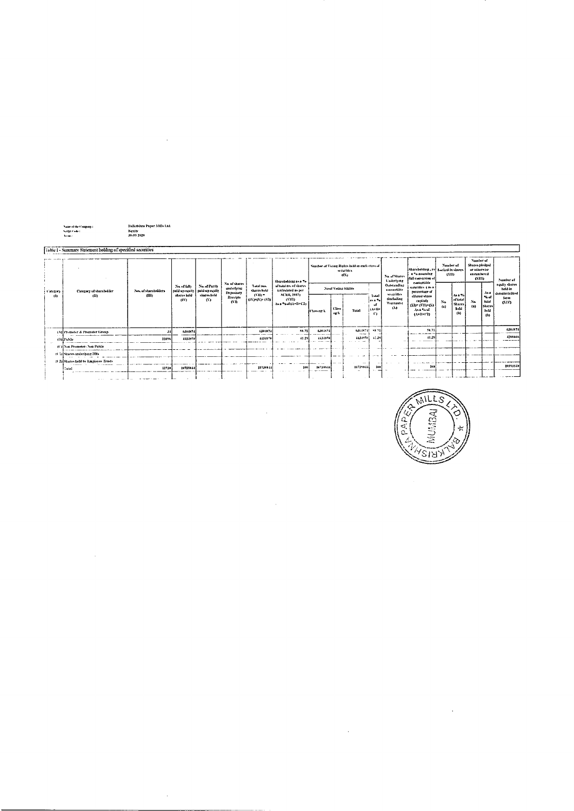|         |              | Name of the Company : |  |
|---------|--------------|-----------------------|--|
|         | Norths Code: |                       |  |
| to emi- |              |                       |  |

 $\label{eq:2.1} \mathcal{L}(\mathcal{L}^{\text{max}}_{\mathcal{L}}(\mathcal{L}^{\text{max}}_{\mathcal{L}})) \leq \mathcal{L}(\mathcal{L}^{\text{max}}_{\mathcal{L}}(\mathcal{L}^{\text{max}}_{\mathcal{L}}))$ 

 $\mathcal{A}^{\mathcal{A}}$ 

Balkrishna Paper Mills Ltd.<br>Equity<br>Ja.09.2020

 $\label{eq:2.1} \mathcal{L}(\mathcal{L}^{\mathcal{L}}_{\mathcal{L}}(\mathcal{L}^{\mathcal{L}}_{\mathcal{L}})) = \mathcal{L}(\mathcal{L}^{\mathcal{L}}_{\mathcal{L}}(\mathcal{L}^{\mathcal{L}}_{\mathcal{L}}))$ 

|            | [Table 1 - Summary Statement holding of specified securities |                                     |                              |                    |                                                                       |                                                                    |                                                           |                                                                                                       |                     |               |                                                                     |                                                     |                                                    |                                                                             |                          |                                                |                                                                    |                                            |                    |
|------------|--------------------------------------------------------------|-------------------------------------|------------------------------|--------------------|-----------------------------------------------------------------------|--------------------------------------------------------------------|-----------------------------------------------------------|-------------------------------------------------------------------------------------------------------|---------------------|---------------|---------------------------------------------------------------------|-----------------------------------------------------|----------------------------------------------------|-----------------------------------------------------------------------------|--------------------------|------------------------------------------------|--------------------------------------------------------------------|--------------------------------------------|--------------------|
|            |                                                              |                                     |                              |                    |                                                                       |                                                                    |                                                           | Shareholding as a 79                                                                                  |                     |               | Number of Voting Rights held in each class of<br>securities<br>43X) |                                                     | No. of Shares<br>Underlying                        | Shareholding , 25 Locked in shares<br>a % assuming<br>iful cancrites of     | Number of<br><b>CVID</b> |                                                | Number of<br>Shares piedged<br>or otherwise<br>encumbered<br>(X11) |                                            | Number of          |
| i Catreory |                                                              | Category of shareholder             | No. of shareholders<br>- A1D | No. of falls       | No of Parily<br>paid up equity   paid-up equity<br>shares held<br>Gʻ) | No. of shares<br>enderlying<br>Depository<br>Recupia<br><b>evn</b> | <b>Total film</b><br>shares beld<br>$4330 -$<br>avery cut | of total no. of shares<br>textendated as per<br><b>SCRR 1957)</b><br><b>AVID</b><br>Availant (A+B+C2) | No of Volker Rights |               |                                                                     | Outstanding<br><b>covertible</b>                    | convertible.<br>securities ( as a<br>percentage of |                                                                             |                          |                                                | $A + 4$                                                            | routry shares<br>held in<br>dematerialized |                    |
| 182        |                                                              | -cD)                                |                              | sharts acid<br>TW1 |                                                                       |                                                                    |                                                           |                                                                                                       | it tan er: X        | Class<br>eg:V | Total                                                               | 'l utal<br>las a Po<br>- uf<br>iuvu<br>$\mathbf{C}$ | secritos<br><b>Garbaline</b><br>Warrantsi<br>AM    | diluted share<br>capital)<br>(XI) = (VII) = (X)<br>As a Seef<br>$(3+11+12)$ | $N_{\rm th}$<br>(4)      | Las a Val<br>of total<br>Shares<br>hrid<br>(b) | Na.<br>$\left\{ a\right\}$                                         | 76.45<br>total<br>Shares<br>held<br>(b)    | form<br><b>GOV</b> |
|            |                                                              | (A) Fromater & Promoter Group       |                              | <b>Manife</b>      |                                                                       |                                                                    | 6304874                                                   | 58.71                                                                                                 | 6304574             |               | 6404874<br>the state.                                               | 58.71                                               |                                                    | 58.71                                                                       |                          |                                                |                                                                    |                                            | 6394373            |
|            | allatinatio                                                  |                                     | 11696                        | 4134970            |                                                                       |                                                                    | 1151976                                                   | 41.29                                                                                                 | 4134970             |               | 1131970                                                             | 42.29                                               |                                                    | 41.29<br>___                                                                |                          |                                                |                                                                    |                                            | 4233666            |
|            |                                                              | (C) Not Promoter-Non-Public         |                              |                    |                                                                       |                                                                    |                                                           |                                                                                                       |                     |               |                                                                     |                                                     |                                                    |                                                                             |                          |                                                |                                                                    |                                            |                    |
|            |                                                              | (C) Shares underlying DRs           |                              |                    |                                                                       |                                                                    |                                                           |                                                                                                       |                     |               |                                                                     |                                                     |                                                    |                                                                             |                          |                                                |                                                                    |                                            |                    |
|            |                                                              | (C2) Shares held by Employee Trusts |                              |                    |                                                                       |                                                                    |                                                           |                                                                                                       |                     |               | $\sim$                                                              |                                                     |                                                    |                                                                             |                          |                                                |                                                                    |                                            |                    |
|            |                                                              | l Tusa                              | 11730                        | 10739814           |                                                                       |                                                                    | 10739944                                                  | 100                                                                                                   | 10739818            |               | 10734811                                                            | 159                                                 |                                                    | 100                                                                         |                          |                                                |                                                                    |                                            | 10591540           |
|            |                                                              |                                     |                              |                    |                                                                       |                                                                    |                                                           |                                                                                                       |                     |               |                                                                     |                                                     |                                                    |                                                                             |                          |                                                |                                                                    |                                            |                    |

 $\mathcal{L}^{\text{max}}_{\text{max}}$  , where  $\mathcal{L}^{\text{max}}_{\text{max}}$ 

 $\label{eq:2.1} \frac{1}{\sqrt{2}}\int_{\mathbb{R}^3}\frac{1}{\sqrt{2}}\left(\frac{1}{\sqrt{2}}\right)^2\frac{1}{\sqrt{2}}\left(\frac{1}{\sqrt{2}}\right)^2\frac{1}{\sqrt{2}}\left(\frac{1}{\sqrt{2}}\right)^2\frac{1}{\sqrt{2}}\left(\frac{1}{\sqrt{2}}\right)^2\frac{1}{\sqrt{2}}\left(\frac{1}{\sqrt{2}}\right)^2\frac{1}{\sqrt{2}}\frac{1}{\sqrt{2}}\frac{1}{\sqrt{2}}\frac{1}{\sqrt{2}}\frac{1}{\sqrt{2}}\frac{1}{\sqrt{2}}$ 



 $\label{eq:2.1} \frac{1}{\sqrt{2}}\int_{0}^{\infty}\frac{1}{\sqrt{2\pi}}\left(\frac{1}{\sqrt{2\pi}}\right)^{2}d\mu\,d\mu\,.$ 

 $\label{eq:2.1} \frac{1}{\sqrt{2}}\int_{0}^{\infty}\frac{1}{\sqrt{2\pi}}\left(\frac{1}{\sqrt{2\pi}}\right)^{2}d\mu\,d\mu\,.$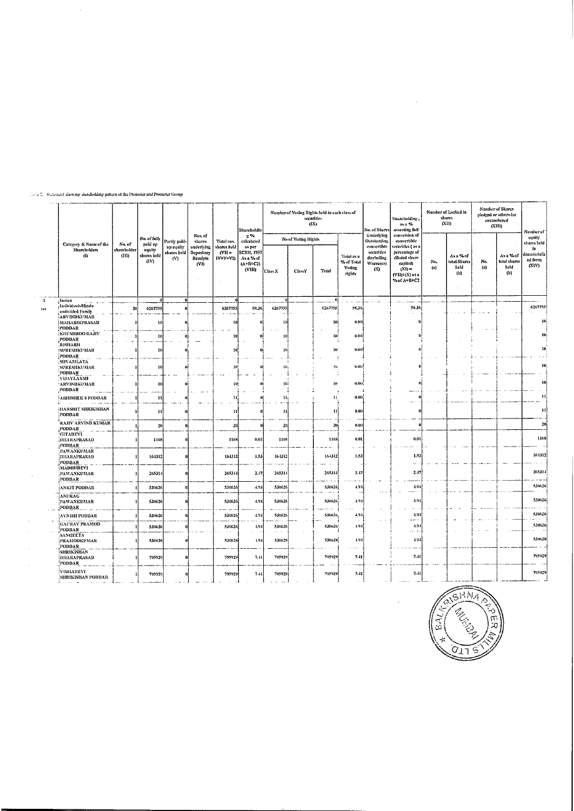|          |                                              |                      | No. of fully                  |                               |                                              |                                   | Sharcholdin                                                       |                        | (IX)                | Number of Voting Rights held in each class of<br>securities |                                                     | No. of Shares                                                     | Sharcholding,<br>as a %<br>assuming full                                                                     |            | Number of Locked in<br>shares<br>$\alpha_{\rm H}$              |                | <b>Number of Shares</b><br>pledged or otherwise<br>encumbered<br>(XIII) | Number of                               |
|----------|----------------------------------------------|----------------------|-------------------------------|-------------------------------|----------------------------------------------|-----------------------------------|-------------------------------------------------------------------|------------------------|---------------------|-------------------------------------------------------------|-----------------------------------------------------|-------------------------------------------------------------------|--------------------------------------------------------------------------------------------------------------|------------|----------------------------------------------------------------|----------------|-------------------------------------------------------------------------|-----------------------------------------|
|          | Category & Name of the                       | No. of               | paid up                       | Partly paid-                  | Nus of<br>shares                             | Total nos.                        | r. %<br>calculated                                                |                        | No of Voting Rights |                                                             |                                                     | Underlying<br>Outstanding                                         | conversion of<br>convertible                                                                                 |            |                                                                |                |                                                                         | coulty<br>shares held                   |
|          | Shareholders<br>$\bf{d}$                     | shareholder<br>(III) | equity<br>shares held<br>(IV) | up equity<br>shares held<br>М | underlying<br>Depository<br>Receipts<br>(VI) | shares held<br>$NII =$<br>IV+V+VD | as per<br><b>SCRR, 1957</b><br>Asa Zof<br>$(A+ B + C2)$<br>(VIII) | Class X                | ClassY              | Total                                                       | Total as a<br>% of Total<br><b>Voting</b><br>rights | convertible<br>securities<br>fincluding<br><b>Warranto</b><br>(X) | securities ( us u<br>percentage of<br>diluted share<br>capital)<br>$(Xi) =$<br>(VII)+(X) as a<br>% of A+B+C2 | Nn.<br>(n) | As a % of<br>total Shares<br>held<br>$\boldsymbol{\mathsf{b}}$ | Nu.<br>$\{n\}$ | Asu%of<br>total shares<br>held<br>$(u)$                                 | in.<br>dematerializ<br>ed torm<br>(NIV) |
| $\sim 1$ | Indian<br>tadividual Aliadu                  |                      |                               |                               |                                              |                                   |                                                                   |                        |                     |                                                             |                                                     |                                                                   |                                                                                                              |            |                                                                |                |                                                                         |                                         |
| (2)      | undivided Fumily                             | 20                   | 6267755                       |                               |                                              | 6267755                           | 58.36                                                             | 6267755                |                     | 6267755                                                     | 58.36                                               |                                                                   | 58.36                                                                                                        |            |                                                                |                |                                                                         | 6267755                                 |
|          | ARVINDKUMAR<br>MAHABIRPRASAD                 |                      | 10                            |                               |                                              | ŢВ                                |                                                                   | ш                      |                     | 10)                                                         | 0.00                                                |                                                                   |                                                                                                              |            |                                                                |                |                                                                         | 10                                      |
|          | ірополк<br>KHUSHBOO RAJIV                    |                      |                               |                               |                                              |                                   |                                                                   |                        |                     |                                                             |                                                     |                                                                   |                                                                                                              |            |                                                                |                | $\sim$ $\sim$                                                           | 10                                      |
|          | PODDAR<br>RISHABH                            |                      | 11                            |                               |                                              | 10                                |                                                                   | -11                    |                     | 10                                                          | 0.00                                                |                                                                   |                                                                                                              |            |                                                                |                |                                                                         |                                         |
|          | <b>ISURESHKUMAR</b>                          |                      | Ħ                             |                               |                                              | -10                               |                                                                   | 10                     |                     | 40)                                                         | 0, 01                                               |                                                                   |                                                                                                              |            |                                                                |                |                                                                         | to:                                     |
|          | PODDAR<br>SHYAMLATA                          |                      |                               |                               |                                              |                                   |                                                                   |                        |                     |                                                             |                                                     |                                                                   |                                                                                                              |            |                                                                |                |                                                                         |                                         |
|          | SURESHKUMAR<br>PODDAR                        |                      | ŧп                            |                               |                                              | nu:                               |                                                                   | 10 <sub>1</sub>        |                     | $\mathbf{H}$                                                | 0.03                                                |                                                                   |                                                                                                              |            |                                                                |                |                                                                         | 19                                      |
|          | VIJAYLAXM<br><b>ARVINDKUMAR</b>              |                      |                               |                               |                                              | toj                               |                                                                   | 10 <sub>1</sub>        |                     | $10\,$                                                      | 0.00                                                |                                                                   |                                                                                                              |            |                                                                |                |                                                                         | т                                       |
|          | PODDAR                                       |                      |                               |                               |                                              |                                   |                                                                   |                        |                     |                                                             |                                                     |                                                                   |                                                                                                              |            |                                                                |                |                                                                         |                                         |
|          | <b>ABHISHEK S PODDAR</b>                     |                      | 11                            |                               |                                              | ប                                 |                                                                   | 11 <sub>1</sub>        |                     | 11                                                          | 0.00                                                |                                                                   |                                                                                                              |            |                                                                |                |                                                                         | $\blacksquare$                          |
|          | HARSHIT SHRIKISHAN<br>PODDAR                 |                      | 11                            |                               |                                              | $\mathbf{11}$                     |                                                                   | 11                     |                     | 11                                                          | 0.00                                                |                                                                   |                                                                                                              |            |                                                                |                |                                                                         | $\mathbf{H}$                            |
|          | RAJIV ARVIND KUMAR<br>PODDAR                 |                      | 20                            |                               |                                              | 20                                |                                                                   | -20                    |                     | 20                                                          | 0.00                                                |                                                                   | ø                                                                                                            |            |                                                                |                |                                                                         | 20                                      |
|          | GITADEVI<br>DHARAPRASAD<br>PODDAR            |                      | 1168                          |                               |                                              | 1168                              | 0.01                                                              | 1168                   |                     | 1168                                                        | 0.01                                                |                                                                   | 0.01                                                                                                         |            |                                                                |                |                                                                         | 1168                                    |
|          | PAWANKUMAR<br>DHARAPRASAD<br>PODDAR          |                      | 164312                        |                               |                                              | 164312                            | 1.53                                                              | 164312                 |                     | 164312                                                      | 1.53                                                |                                                                   | 1.53<br>$\sim$                                                                                               |            |                                                                |                |                                                                         | 161312                                  |
|          | MADHUDEVI<br>PAWANKUMAR<br>PODDAR            |                      | 265314                        |                               |                                              | 265314                            | 2.47                                                              | 26531                  |                     | 265314                                                      | 2.47                                                |                                                                   | 2.47                                                                                                         |            |                                                                |                |                                                                         | 265314                                  |
|          | ANKIT PODDAR                                 |                      | 530626                        |                               |                                              | 530626                            | $-4.9+$                                                           | 530626                 |                     | 530626                                                      | 4.94                                                |                                                                   | 4.94                                                                                                         |            |                                                                |                |                                                                         | 530626                                  |
|          | ANURAG<br>PAWANKUMAR<br>PODDAR               |                      | 530626                        |                               |                                              | 530626                            | 4,94                                                              | 530626                 |                     | 530626                                                      | 4.94                                                |                                                                   | 4.94                                                                                                         |            |                                                                |                |                                                                         | 530626                                  |
|          | AVNISH PODDAR                                |                      | 530626                        |                               |                                              | 530626                            | $-4.74$                                                           | 530626                 |                     | 530626                                                      | 4.94                                                |                                                                   | $-1.94$<br>$-1$                                                                                              |            |                                                                |                |                                                                         | 530626                                  |
|          | <b>GAURAV PRAMOD</b><br>PODDAR:              |                      | 530626                        |                               |                                              | 530626                            | 4, 9.1                                                            | 530626                 |                     | 5306265                                                     | 4.94                                                |                                                                   | $-1,94$                                                                                                      |            |                                                                |                |                                                                         | 530626                                  |
|          | <b>SANGEETA</b><br>PRAMODKUMAR<br>PODDAR     |                      | 530628                        |                               |                                              | 530628                            | 4.94                                                              | $\sim 10$ km<br>530628 |                     | 530628                                                      | 1,94                                                |                                                                   | $\cdots$<br>$-9.4$                                                                                           |            |                                                                |                |                                                                         | 530628                                  |
|          | ÍSHRIKISHAN<br><b>IDHARAPRASAD</b><br>PODDAR |                      | 795929                        | $\mathbf n$                   |                                              | 795929                            | 7.41                                                              | 795929                 |                     | 795929                                                      | 7.41                                                |                                                                   | $7 - 1$                                                                                                      |            |                                                                |                |                                                                         | 795929                                  |
|          | VIBHADEVI<br>SHRIKISHAN PODDAR               |                      | 795929                        |                               |                                              | 795929                            | 7.41                                                              | 795929                 |                     | 795929                                                      | 7, 41                                               |                                                                   | 7.41                                                                                                         |            |                                                                |                |                                                                         | 795929                                  |

### $\lim_{\delta\to 0} \mathbb{E}^{\mathbb{P}}$  . Statement showing shareholding pattern of the Promoter and Promoter Group

 $\hat{\boldsymbol{\beta}}$ 



 $\sim$ 

 $\mathcal{L}^{\text{max}}_{\text{max}}$  and  $\mathcal{L}^{\text{max}}_{\text{max}}$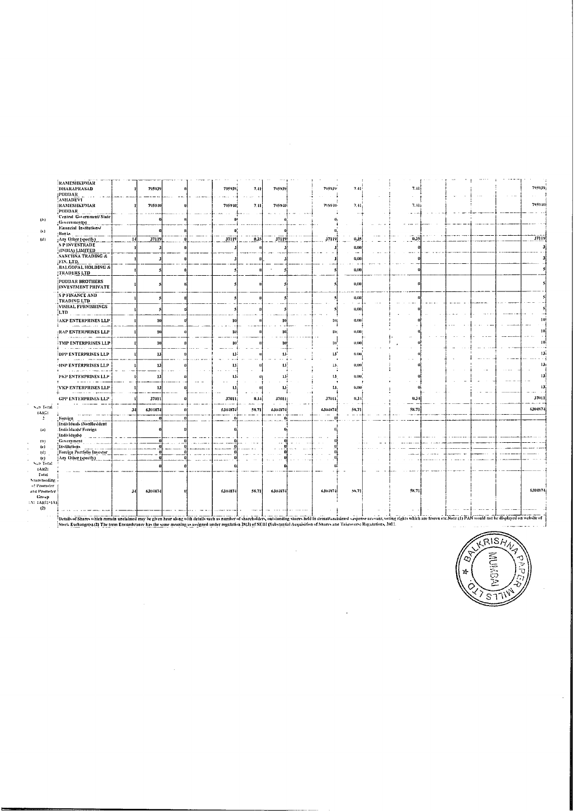| RAMESHKUMAR<br>DHARAPRASAD                                                                                                                                                                                                     |      | 795939              |  | 795939  | 7.41   | 795939                 |    | 795939          | 7.41                             | 7.41                  |  |  | 7959391         |
|--------------------------------------------------------------------------------------------------------------------------------------------------------------------------------------------------------------------------------|------|---------------------|--|---------|--------|------------------------|----|-----------------|----------------------------------|-----------------------|--|--|-----------------|
| <b>PODDAR</b><br>ASHADEVI                                                                                                                                                                                                      |      |                     |  |         |        |                        |    |                 |                                  |                       |  |  |                 |
| <b>RAMESHKUMAR</b><br>РОВВАК                                                                                                                                                                                                   |      | 795940              |  | 795940  | 7.11   | 7959401                |    | 775930          | 7.41                             | 7.11<br>$\sim$ $\sim$ |  |  | 795910          |
| Central Government/State                                                                                                                                                                                                       |      |                     |  | m       |        |                        |    | ü               |                                  |                       |  |  |                 |
| :Government(s)<br>Financial Institutions/                                                                                                                                                                                      |      |                     |  |         |        |                        |    |                 |                                  |                       |  |  |                 |
| i Banks                                                                                                                                                                                                                        |      |                     |  | D.      |        |                        |    |                 |                                  |                       |  |  |                 |
| Any Other (specify)<br><b>SPINVESTRADE</b>                                                                                                                                                                                     |      | $\overline{3711}$ 9 |  | 37119   | 0.35   | 37119                  |    | 37119           | 0.35                             | 0.35                  |  |  | 37119           |
| (INDIA) LIMITED                                                                                                                                                                                                                |      |                     |  |         |        |                        |    |                 | 0.00<br>$\overline{\phantom{a}}$ |                       |  |  |                 |
| <b>SANCHNA TRADING &amp;</b>                                                                                                                                                                                                   |      |                     |  |         |        |                        |    |                 | 0,00                             |                       |  |  |                 |
| FIN. LTD.<br><b>BALGOPAL HOLDING &amp;</b><br>TRADERS LTD                                                                                                                                                                      |      |                     |  |         |        |                        |    |                 | 0.00                             |                       |  |  |                 |
| PODDAR BROTHERS<br><b>INVESTMENT PRIVATE</b>                                                                                                                                                                                   |      |                     |  |         |        |                        |    |                 | 0,00                             |                       |  |  |                 |
| S P FINANCE AND<br><b>TRADING LTD</b>                                                                                                                                                                                          |      |                     |  |         |        |                        |    |                 | 0.00                             |                       |  |  |                 |
| VISHAL FURNISHINGS<br>¦LTD.                                                                                                                                                                                                    |      |                     |  |         |        |                        |    |                 | $\sim$ 100<br>0.00               |                       |  |  |                 |
| <b>AKP ENTERPRISES LLP</b><br><b>COMMON</b>                                                                                                                                                                                    |      | 10                  |  | 10      |        | 14                     |    | 10i<br>- 1      | 0.00                             |                       |  |  | m               |
| :RAP ENTERPRISES LLP<br><b>Contract Advised Services</b>                                                                                                                                                                       |      | 10                  |  | u       |        | -10)                   |    | W.              | 0,001                            |                       |  |  | 10              |
| <b>TMP ENTERPRISES LLP</b><br>A residence of the state and                                                                                                                                                                     |      | 10                  |  | w       |        | 10)<br>$\rightarrow$   |    | 10 <sup>6</sup> | 0.00                             |                       |  |  | ш               |
| <b>DPP ENTERPRISES LLP</b><br>$\alpha$ . The mass of $\alpha$                                                                                                                                                                  |      | 13 <sup>1</sup>     |  | w       |        | 13 <sup>1</sup>        |    | 13'             | 0.00                             |                       |  |  | 13              |
| HSP ENTERPRISES LLP<br>$\alpha$ , and $\alpha$ and $\alpha$ .                                                                                                                                                                  |      | 13                  |  | 13      |        | 13                     |    | 13.             | -0,09                            |                       |  |  | 13 <sub>1</sub> |
| PKP ENTERPRISES LLP                                                                                                                                                                                                            |      | 13 <sup>1</sup>     |  | 131     |        | 13 <sup>1</sup><br>. . |    | 13 <sup>°</sup> | 0.00                             |                       |  |  | 13              |
| <b>!VKP ENTERPRISES LLP</b>                                                                                                                                                                                                    |      | 13                  |  | н       |        | IJ,                    | т. | 13,             | 0.001                            |                       |  |  | 13              |
| <b>GPP ENTERPRISES LLP</b>                                                                                                                                                                                                     |      | 37011               |  | 37011   | 0, 3.1 | 37011                  |    | 37011           | 0.31                             | 0.34                  |  |  | 37011           |
|                                                                                                                                                                                                                                | 31   | 6301874             |  | 6304874 | 58.71  | 6304874                |    | 6304874         | 58.71                            | 58.71                 |  |  | 6304874         |
| , Fareign,<br>Individuals (NonResident<br>: Individuals/Foreign                                                                                                                                                                |      |                     |  |         |        |                        |    |                 |                                  |                       |  |  |                 |
| (Individuals)                                                                                                                                                                                                                  |      |                     |  |         |        |                        |    |                 |                                  |                       |  |  |                 |
| Government<br>Institutions                                                                                                                                                                                                     |      |                     |  |         |        |                        |    |                 |                                  |                       |  |  |                 |
| Foreign Portfolio Investor<br>Any Other (specify)                                                                                                                                                                              |      |                     |  |         |        |                        |    |                 |                                  |                       |  |  |                 |
|                                                                                                                                                                                                                                |      |                     |  |         |        |                        |    | $_{\rm n}$      |                                  |                       |  |  |                 |
|                                                                                                                                                                                                                                |      |                     |  |         |        |                        |    |                 |                                  |                       |  |  |                 |
|                                                                                                                                                                                                                                | $3-$ | 6304874             |  | 6304874 | 58.71  | 6304874                |    | 6304874         | 55.71                            | 58.71                 |  |  | 6301874         |
|                                                                                                                                                                                                                                |      |                     |  |         |        |                        |    |                 |                                  |                       |  |  |                 |
| Details of Shares which remain unclaimed may be given hear along with details such as number of shareholders, outstanding shares held in demat/anclaimed saspense account, voting rights which are frozen etc. Note: (1) PAN w |      |                     |  |         |        |                        |    |                 |                                  |                       |  |  |                 |

 $\bar{z}$ 

 $\ddot{\phantom{a}}$ 



 $\bar{\beta}$ 

 $\begin{array}{c} \textbf{S}_{\text{eff}}\textbf{D}\text{ Tordi} \\ \textbf{fAlg} \textbf{D} \\ \textbf{2} \end{array}$ 

 $\langle \omega \rangle$ 

 $\hat{\boldsymbol{\beta}}$ 

 $\sim$ 

 $\overline{a}$ 

(b)<br>(c)<br>(d)<br>(c)<br> $\frac{1}{2}$ <br>Sub Total  $\frac{1}{2}$ Sub-Total<br>
(A)(2)<br>
Iotal<br>
Ionter and Promoter<br>
and Promoter<br>
(A)(3)(A)(2)<br>
(2)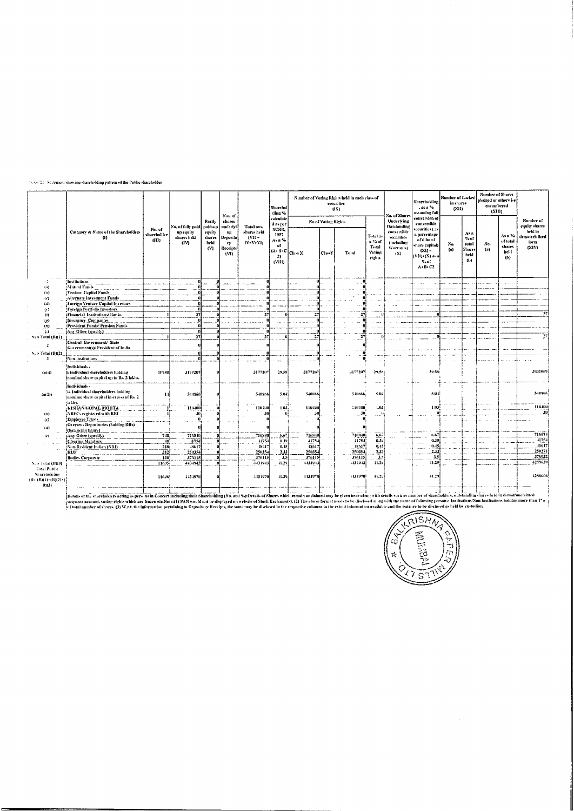#### $\langle \cdot, \cdot \rangle_{\mathcal{C}}$   $\mathbb{M}^{\ast}_{\mathcal{C}}$  . Statement showing shareholding pattern of the Public shareholder

|                                              |                                                                                                                                                                                                                                |                                |                                  |                                      | Nos. of                                              |                                           | Sharchol<br>ding %                                                                       |              |                     | Number of Voting Rights held in each class of<br>securities<br>(IX) |                                                | Na, of Simty                                               | <b>Shareholding</b><br>. as a %<br>assumine full                                                                              | Number of Locker<br>in shares<br>(XII) |                                                  | <b>Number of Shares</b><br>niedzed or otherwise<br>encumbered<br>(X111) |                                             |                                            |
|----------------------------------------------|--------------------------------------------------------------------------------------------------------------------------------------------------------------------------------------------------------------------------------|--------------------------------|----------------------------------|--------------------------------------|------------------------------------------------------|-------------------------------------------|------------------------------------------------------------------------------------------|--------------|---------------------|---------------------------------------------------------------------|------------------------------------------------|------------------------------------------------------------|-------------------------------------------------------------------------------------------------------------------------------|----------------------------------------|--------------------------------------------------|-------------------------------------------------------------------------|---------------------------------------------|--------------------------------------------|
|                                              |                                                                                                                                                                                                                                |                                | No, of fully paid                | Parth<br>pald-up                     | shares                                               | Total nos.                                | calculate<br>d as per                                                                    |              | No of Voting Rights |                                                                     |                                                | Underlying<br>Outstanding                                  | de dolcrator<br>convertible                                                                                                   |                                        |                                                  |                                                                         |                                             | Number of<br>equity shares                 |
|                                              | Category & Name of the Shareholders<br>(1)                                                                                                                                                                                     | No. of<br>shareholder<br>(III) | up equity<br>shares held<br>(IV) | equity<br>shares<br>held<br>$^{(V)}$ | underlyl<br>m<br>Deposito<br>ry.<br>Receipts<br>(VI) | shares held<br>$\alpha$ u-<br>$1V+V+V$ 1) | SCRR.<br>1957<br>As 11.<br>$\alpha$<br>$(A) \cdot B \cdot C$ Class X<br>$^{2}$<br>(VIII) |              | <b>ClassY</b>       | Total                                                               | Total as<br>a %of<br>Total<br>Voting<br>rigues | convertible<br>vecurities<br>theloding<br>Warrunts)<br>(X) | securitles ( as<br>a nerventage<br>of diluted<br>diare capital)<br>$(N!)$ -<br>(VII)+(X) av a<br>% of<br>$A \cdot B \cdot C2$ | No.<br>(u)                             | As a<br>$%$ of<br>total<br>Share:<br>hekl<br>(1) | No.<br>(a)                                                              | As a %<br>of total<br>shares<br>held<br>(1) | held in<br>dematerialized<br>form<br>(X1Y) |
| - 1                                          | Institutions                                                                                                                                                                                                                   |                                |                                  |                                      |                                                      |                                           |                                                                                          | $\mathbf{u}$ |                     |                                                                     |                                                |                                                            |                                                                                                                               |                                        |                                                  |                                                                         |                                             |                                            |
| (u)                                          | Mutual Funds                                                                                                                                                                                                                   |                                |                                  |                                      |                                                      |                                           |                                                                                          |              |                     |                                                                     |                                                |                                                            |                                                                                                                               |                                        |                                                  |                                                                         |                                             |                                            |
| (1)                                          | Venture Capital Funds                                                                                                                                                                                                          |                                |                                  |                                      |                                                      |                                           |                                                                                          |              |                     |                                                                     |                                                |                                                            |                                                                                                                               |                                        |                                                  |                                                                         |                                             |                                            |
| (c)                                          | Alternate Investment Funds                                                                                                                                                                                                     |                                |                                  |                                      |                                                      |                                           |                                                                                          |              |                     |                                                                     |                                                |                                                            |                                                                                                                               |                                        |                                                  |                                                                         |                                             |                                            |
| 44                                           | Foreign Venture Capital Investors                                                                                                                                                                                              |                                |                                  |                                      |                                                      |                                           |                                                                                          |              |                     |                                                                     |                                                |                                                            |                                                                                                                               |                                        |                                                  |                                                                         |                                             |                                            |
| (v)                                          | Foreign Portfolio Investors                                                                                                                                                                                                    |                                |                                  |                                      |                                                      |                                           |                                                                                          |              |                     |                                                                     |                                                |                                                            |                                                                                                                               |                                        |                                                  |                                                                         |                                             |                                            |
| $\{2\}$                                      | (Financial Institutions/Banks                                                                                                                                                                                                  |                                | 27                               |                                      |                                                      |                                           |                                                                                          | 27           |                     | 27                                                                  |                                                |                                                            |                                                                                                                               |                                        |                                                  |                                                                         |                                             | 27                                         |
| (g)                                          | Hasurance Companies                                                                                                                                                                                                            |                                |                                  |                                      |                                                      |                                           |                                                                                          |              |                     |                                                                     |                                                |                                                            |                                                                                                                               |                                        |                                                  |                                                                         |                                             |                                            |
| m                                            | Provident Funds' Pension Funds                                                                                                                                                                                                 |                                |                                  |                                      |                                                      |                                           |                                                                                          |              |                     |                                                                     |                                                |                                                            |                                                                                                                               |                                        |                                                  |                                                                         |                                             |                                            |
| ti)                                          | Am Other (specify)                                                                                                                                                                                                             |                                |                                  |                                      |                                                      |                                           |                                                                                          |              |                     |                                                                     |                                                |                                                            |                                                                                                                               |                                        |                                                  |                                                                         |                                             |                                            |
| Sub Total (B)(1)                             |                                                                                                                                                                                                                                |                                | 27                               |                                      |                                                      |                                           |                                                                                          |              |                     | יי                                                                  |                                                |                                                            |                                                                                                                               |                                        |                                                  |                                                                         |                                             |                                            |
| $\overline{z}$                               | Central Government/ State                                                                                                                                                                                                      |                                |                                  |                                      |                                                      |                                           |                                                                                          |              |                     |                                                                     |                                                |                                                            |                                                                                                                               |                                        |                                                  |                                                                         |                                             |                                            |
|                                              | Government(s)/ President of India                                                                                                                                                                                              |                                |                                  |                                      |                                                      |                                           |                                                                                          |              |                     |                                                                     |                                                |                                                            |                                                                                                                               |                                        |                                                  |                                                                         |                                             |                                            |
| Sub-Total (B)(2)                             |                                                                                                                                                                                                                                |                                |                                  |                                      |                                                      |                                           |                                                                                          |              |                     |                                                                     |                                                |                                                            |                                                                                                                               |                                        |                                                  |                                                                         |                                             |                                            |
| 3                                            | Non-institutions                                                                                                                                                                                                               |                                |                                  |                                      |                                                      |                                           |                                                                                          |              |                     |                                                                     |                                                |                                                            |                                                                                                                               |                                        |                                                  |                                                                         |                                             |                                            |
| (util)                                       | İndividual -<br>i. Individual shareholders holding<br>mondad share capital up to Rs. 2 lakhs.                                                                                                                                  | 10980                          | 3177207                          |                                      |                                                      | 3177207                                   | 29.58                                                                                    | 3177207      |                     | 3177207                                                             | 29.5%                                          |                                                            | 29.58                                                                                                                         |                                        |                                                  |                                                                         |                                             | 3031069                                    |
| (of life)                                    | Individuals -<br>(ii, Individual shareholders holding)<br>(nominal share capital in excess of Rs. 2                                                                                                                            | 1.4                            | 540866                           |                                      |                                                      | 540366                                    | 5.04                                                                                     | 540866       |                     | 540366                                                              | 5.9.                                           |                                                            | 5.04                                                                                                                          |                                        |                                                  |                                                                         |                                             | 540866                                     |
|                                              | <b>Sakhs</b><br><b>KISHAN GOPAL MOHTA</b>                                                                                                                                                                                      |                                | 110400                           |                                      |                                                      | 110400                                    | 1.03                                                                                     | 110400       |                     | 110400                                                              | 1,031                                          |                                                            | 1.03                                                                                                                          |                                        |                                                  |                                                                         |                                             | 110400                                     |
|                                              | NBFCs registered with RBI                                                                                                                                                                                                      |                                | 30                               |                                      |                                                      |                                           |                                                                                          | -311         |                     | 3u                                                                  |                                                |                                                            |                                                                                                                               |                                        |                                                  |                                                                         |                                             | 30                                         |
| (3)                                          | Employee Trusts                                                                                                                                                                                                                |                                |                                  |                                      |                                                      |                                           |                                                                                          |              |                     |                                                                     |                                                |                                                            |                                                                                                                               |                                        |                                                  |                                                                         |                                             |                                            |
| $\left(\mathbf{r}\right)$<br>(44)            | (Overseas Depositories (bolding DRs)                                                                                                                                                                                           |                                |                                  |                                      |                                                      |                                           |                                                                                          |              |                     |                                                                     |                                                |                                                            |                                                                                                                               |                                        |                                                  |                                                                         |                                             |                                            |
|                                              | (balancing figure)                                                                                                                                                                                                             |                                |                                  |                                      |                                                      |                                           |                                                                                          |              |                     |                                                                     |                                                |                                                            |                                                                                                                               |                                        |                                                  |                                                                         |                                             |                                            |
| (r)                                          | Any Other (specify)                                                                                                                                                                                                            | 70D                            | 716840                           |                                      |                                                      | 716840                                    | 1.67                                                                                     | 716840       |                     | 716340                                                              | 6.67                                           |                                                            |                                                                                                                               |                                        |                                                  |                                                                         |                                             | 716674                                     |
|                                              | Clearing Members                                                                                                                                                                                                               | 40                             | -1175-                           |                                      |                                                      | 41751                                     | 0.39                                                                                     | 41754        |                     | 41754                                                               | 0.39                                           |                                                            | 0.39                                                                                                                          |                                        |                                                  |                                                                         |                                             | 41754                                      |
|                                              | Non-Resident Indian (NRI)                                                                                                                                                                                                      | 218                            | 48613                            |                                      |                                                      | 48617                                     | 0.15                                                                                     | 48617        |                     | 88617                                                               | 0.45                                           |                                                            | 0.45                                                                                                                          |                                        |                                                  |                                                                         |                                             | 48617                                      |
|                                              | шт                                                                                                                                                                                                                             | 312                            | 250354                           |                                      |                                                      | 250354                                    | 2.33                                                                                     | 250354       |                     | 250354                                                              | $\frac{2.33}{3.5}$                             |                                                            | 2.33                                                                                                                          |                                        |                                                  |                                                                         |                                             | 250271                                     |
|                                              | <b>Bodies Corporate</b>                                                                                                                                                                                                        | 130                            | 376115                           |                                      |                                                      | 376115                                    | 3.5                                                                                      | 376115       |                     | 376115                                                              |                                                |                                                            | 3.5                                                                                                                           |                                        |                                                  |                                                                         |                                             | 376032                                     |
| Nets Total (BR3)                             |                                                                                                                                                                                                                                | 11695                          | 4434943                          | <b>u</b>                             |                                                      | 4434943                                   | 41.29                                                                                    | 4434943      |                     | 4434943                                                             | 41.29                                          |                                                            | 41.29                                                                                                                         |                                        |                                                  |                                                                         |                                             | 4288639                                    |
| Total Public                                 |                                                                                                                                                                                                                                |                                |                                  |                                      |                                                      |                                           |                                                                                          |              |                     |                                                                     |                                                |                                                            |                                                                                                                               |                                        |                                                  |                                                                         |                                             |                                            |
| Snarcholding<br>(B) (B)(1) (B)(2) (<br>8113) |                                                                                                                                                                                                                                | 11696                          | 4434970                          |                                      |                                                      | 4434970                                   | 41.29                                                                                    | 4434970      |                     | 14349701                                                            | 41.29                                          |                                                            | 41.29                                                                                                                         |                                        |                                                  |                                                                         |                                             | 4288666                                    |
|                                              | Details of the shareholders acting as persons in Concert including their Shareholding (No. and %):Details of Shares which remain unclaimed may be given hear along with details such as number of shareholders, outstanding sh |                                |                                  |                                      |                                                      |                                           |                                                                                          |              |                     |                                                                     |                                                |                                                            |                                                                                                                               |                                        |                                                  |                                                                         |                                             |                                            |
|                                              |                                                                                                                                                                                                                                |                                |                                  |                                      |                                                      |                                           |                                                                                          |              |                     |                                                                     |                                                |                                                            |                                                                                                                               |                                        |                                                  |                                                                         |                                             |                                            |

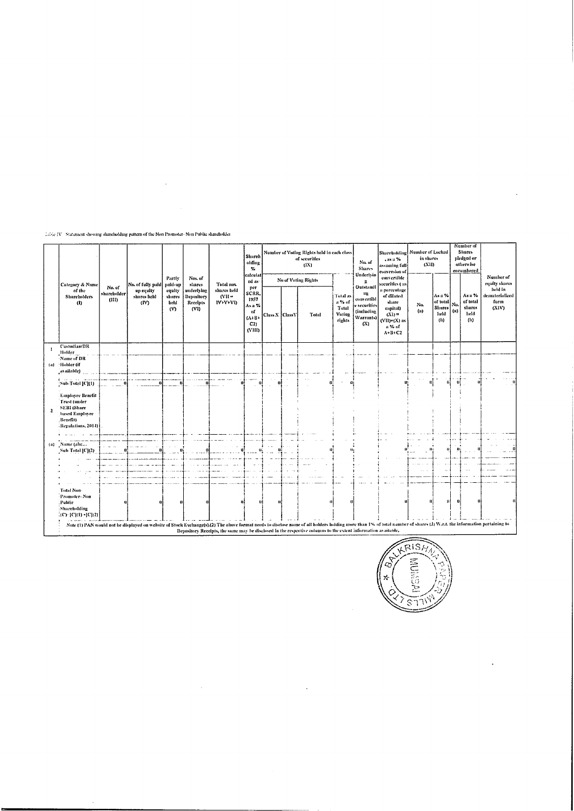$\mathbb{T} \mathbb{Z} \mathbb{N}_0$  Statement showing shareholding pattern of the Non-Promoter- Non-Public shareholder

 $\mathcal{L}^{\text{max}}_{\text{max}}$  and  $\mathcal{L}^{\text{max}}_{\text{max}}$ 

|                            |                                                                                                              |                                |                                                                                                                                                                                                                        |                                 |                                             |                                           | Sharch<br>olding<br>%<br>calculat                               |                   | Number of Voting Rights held in each class<br>of securities<br>(1X)                                           |                                                        | No. of<br><b>Shares</b><br>Underlyin                                            | Shareholding Number of Locked<br>.usu%<br>assumine full<br>conversion of                                | in shares<br>(X11) |                                                |                               | Number of<br><b>Shares</b><br>pledged or<br>otherwise<br>encumbered |                                            |
|----------------------------|--------------------------------------------------------------------------------------------------------------|--------------------------------|------------------------------------------------------------------------------------------------------------------------------------------------------------------------------------------------------------------------|---------------------------------|---------------------------------------------|-------------------------------------------|-----------------------------------------------------------------|-------------------|---------------------------------------------------------------------------------------------------------------|--------------------------------------------------------|---------------------------------------------------------------------------------|---------------------------------------------------------------------------------------------------------|--------------------|------------------------------------------------|-------------------------------|---------------------------------------------------------------------|--------------------------------------------|
|                            | Category & Name                                                                                              |                                | No. of fully paid                                                                                                                                                                                                      | Parily<br>paid-up               | Nos. of<br>shares                           | Total nos.                                | ed as-                                                          |                   | No of Voting Rights                                                                                           |                                                        | R.                                                                              | convertible<br>securities ( as                                                                          |                    |                                                |                               |                                                                     | Number of<br>equity shares                 |
|                            | of the<br><b>Shareholders</b><br>(1)                                                                         | No. of<br>shareholder<br>(III) | up equity<br>shares held<br>(IV)                                                                                                                                                                                       | equity<br>shares<br>beld<br>(V) | underlying<br>Depository<br>Receipts<br>(V) | shares held<br>N <sub>H</sub><br>IV+V+VI) | per<br>SCRR.<br>1957<br>As a %<br>of<br>$(A+B)$<br>C2<br>(VIII) | Class X   Class Y | Total                                                                                                         | Tutal as<br>a % of<br>Total<br><b>Voting</b><br>rights | Outstandi<br>02<br>eonvertibl<br>e securities<br>(including<br>Warrants)<br>(X) | a percentage<br>of diluted<br>share<br>capital)<br>$(X1) =$<br>$(V11)+(X)$ as<br>a % of<br>$A + B + C2$ | Na.<br>(n)         | Asa %<br>of total<br>Shares<br>held<br>$\{b\}$ | $N_{th}$<br>$\left( n\right)$ | Asu%<br>of total<br>shares<br>held<br>(b)                           | held in<br>dematerialized<br>form<br>(XIV) |
|                            | Custodian/DR<br>Holder<br>Name of DR<br>(a) Holder (if                                                       |                                |                                                                                                                                                                                                                        |                                 |                                             |                                           |                                                                 |                   |                                                                                                               |                                                        |                                                                                 |                                                                                                         |                    |                                                |                               |                                                                     |                                            |
|                            | [available]                                                                                                  |                                |                                                                                                                                                                                                                        |                                 |                                             |                                           |                                                                 |                   |                                                                                                               |                                                        |                                                                                 |                                                                                                         |                    |                                                |                               |                                                                     |                                            |
|                            | [Sab-Total (C)(1)                                                                                            |                                |                                                                                                                                                                                                                        |                                 |                                             |                                           |                                                                 |                   |                                                                                                               | $\sim$<br>w                                            |                                                                                 |                                                                                                         |                    | o                                              | ωl                            |                                                                     |                                            |
| $\overline{ }$             | Employee Benefit<br><b>Trust</b> (under<br>SEBI (Share<br>hased Employee<br>, Bearfit)<br>Regulations, 2014) |                                |                                                                                                                                                                                                                        |                                 |                                             |                                           |                                                                 |                   |                                                                                                               |                                                        |                                                                                 |                                                                                                         |                    |                                                |                               |                                                                     |                                            |
|                            |                                                                                                              |                                |                                                                                                                                                                                                                        |                                 |                                             |                                           |                                                                 |                   |                                                                                                               |                                                        |                                                                                 |                                                                                                         |                    |                                                |                               |                                                                     |                                            |
| $\left( \mathbf{a}\right)$ | Name (ahr<br>Sub Total [C](2)                                                                                |                                |                                                                                                                                                                                                                        |                                 |                                             |                                           |                                                                 |                   |                                                                                                               |                                                        |                                                                                 |                                                                                                         |                    |                                                |                               |                                                                     |                                            |
|                            |                                                                                                              |                                |                                                                                                                                                                                                                        |                                 |                                             |                                           |                                                                 |                   |                                                                                                               |                                                        |                                                                                 |                                                                                                         |                    |                                                |                               |                                                                     |                                            |
|                            |                                                                                                              |                                |                                                                                                                                                                                                                        |                                 |                                             |                                           |                                                                 |                   |                                                                                                               |                                                        |                                                                                 |                                                                                                         |                    |                                                |                               |                                                                     |                                            |
|                            | Total Non-<br>Promoter-Non<br>Public<br>Shareholding<br>$(C)^{-}\{C\}(1) + [C](2)$                           |                                |                                                                                                                                                                                                                        |                                 |                                             |                                           |                                                                 |                   |                                                                                                               |                                                        |                                                                                 |                                                                                                         |                    |                                                |                               |                                                                     |                                            |
|                            |                                                                                                              |                                | Note (1) PAN would not be displayed on website of Stock Exchange(s).(2) The above format needs to disclove name of all holders holding more than 1% of total number of shares (3) W.r.t. the information pertaining to |                                 |                                             |                                           |                                                                 |                   | Depository Receipts, the same may be disclosed in the respective columns to the extent information available, |                                                        |                                                                                 |                                                                                                         |                    |                                                |                               |                                                                     |                                            |



 $\ddot{\phantom{0}}$ 

 $\ddot{\phantom{a}}$